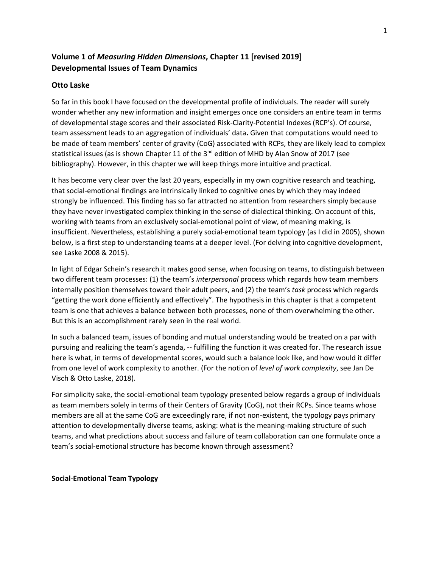# **Volume 1 of** *Measuring Hidden Dimensions***, Chapter 11 [revised 2019] Developmental Issues of Team Dynamics**

### **Otto Laske**

So far in this book I have focused on the developmental profile of individuals. The reader will surely wonder whether any new information and insight emerges once one considers an entire team in terms of developmental stage scores and their associated Risk-Clarity-Potential Indexes (RCP's). Of course, team assessment leads to an aggregation of individuals' data**.** Given that computations would need to be made of team members' center of gravity (CoG) associated with RCPs, they are likely lead to complex statistical issues (as is shown Chapter 11 of the 3<sup>nd</sup> edition of MHD by Alan Snow of 2017 (see bibliography). However, in this chapter we will keep things more intuitive and practical.

It has become very clear over the last 20 years, especially in my own cognitive research and teaching, that social-emotional findings are intrinsically linked to cognitive ones by which they may indeed strongly be influenced. This finding has so far attracted no attention from researchers simply because they have never investigated complex thinking in the sense of dialectical thinking. On account of this, working with teams from an exclusively social-emotional point of view, of meaning making, is insufficient. Nevertheless, establishing a purely social-emotional team typology (as I did in 2005), shown below, is a first step to understanding teams at a deeper level. (For delving into cognitive development, see Laske 2008 & 2015).

In light of Edgar Schein's research it makes good sense, when focusing on teams, to distinguish between two different team processes: (1) the team's *interpersonal* process which regards how team members internally position themselves toward their adult peers, and (2) the team's *task* process which regards "getting the work done efficiently and effectively". The hypothesis in this chapter is that a competent team is one that achieves a balance between both processes, none of them overwhelming the other. But this is an accomplishment rarely seen in the real world.

In such a balanced team, issues of bonding and mutual understanding would be treated on a par with pursuing and realizing the team's agenda, -- fulfilling the function it was created for. The research issue here is what, in terms of developmental scores, would such a balance look like, and how would it differ from one level of work complexity to another. (For the notion of *level of work complexity*, see Jan De Visch & Otto Laske, 2018).

For simplicity sake, the social-emotional team typology presented below regards a group of individuals as team members solely in terms of their Centers of Gravity (CoG), not their RCPs. Since teams whose members are all at the same CoG are exceedingly rare, if not non-existent, the typology pays primary attention to developmentally diverse teams, asking: what is the meaning-making structure of such teams, and what predictions about success and failure of team collaboration can one formulate once a team's social-emotional structure has become known through assessment?

**Social-Emotional Team Typology**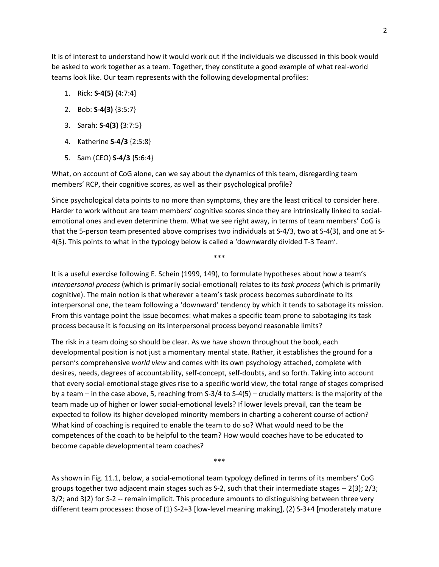It is of interest to understand how it would work out if the individuals we discussed in this book would be asked to work together as a team. Together, they constitute a good example of what real-world teams look like. Our team represents with the following developmental profiles:

- 1. Rick: **S-4(5)** {4:7:4}
- 2. Bob: **S-4(3)** {3:5:7}
- 3. Sarah: **S-4(3)** {3:7:5}
- 4. Katherine **S-4/3** {2:5:8}
- 5. Sam (CEO) **S-4/3** {5:6:4}

What, on account of CoG alone, can we say about the dynamics of this team, disregarding team members' RCP, their cognitive scores, as well as their psychological profile?

Since psychological data points to no more than symptoms, they are the least critical to consider here. Harder to work without are team members' cognitive scores since they are intrinsically linked to socialemotional ones and even determine them. What we see right away, in terms of team members' CoG is that the 5-person team presented above comprises two individuals at S-4/3, two at S-4(3), and one at S-4(5). This points to what in the typology below is called a 'downwardly divided T-3 Team'.

\*\*\*

It is a useful exercise following E. Schein (1999, 149), to formulate hypotheses about how a team's *interpersonal process* (which is primarily social-emotional) relates to its *task process* (which is primarily cognitive). The main notion is that wherever a team's task process becomes subordinate to its interpersonal one, the team following a 'downward' tendency by which it tends to sabotage its mission. From this vantage point the issue becomes: what makes a specific team prone to sabotaging its task process because it is focusing on its interpersonal process beyond reasonable limits?

The risk in a team doing so should be clear. As we have shown throughout the book, each developmental position is not just a momentary mental state. Rather, it establishes the ground for a person's comprehensive *world view* and comes with its own psychology attached, complete with desires, needs, degrees of accountability, self-concept, self-doubts, and so forth. Taking into account that every social-emotional stage gives rise to a specific world view, the total range of stages comprised by a team – in the case above, 5, reaching from S-3/4 to S-4(5) – crucially matters: is the majority of the team made up of higher or lower social-emotional levels? If lower levels prevail, can the team be expected to follow its higher developed minority members in charting a coherent course of action? What kind of coaching is required to enable the team to do so? What would need to be the competences of the coach to be helpful to the team? How would coaches have to be educated to become capable developmental team coaches?

As shown in Fig. 11.1, below, a social-emotional team typology defined in terms of its members' CoG groups together two adjacent main stages such as S-2, such that their intermediate stages -- 2(3); 2/3; 3/2; and 3(2) for S-2 -- remain implicit. This procedure amounts to distinguishing between three very different team processes: those of (1) S-2+3 [low-level meaning making], (2) S-3+4 [moderately mature

\*\*\*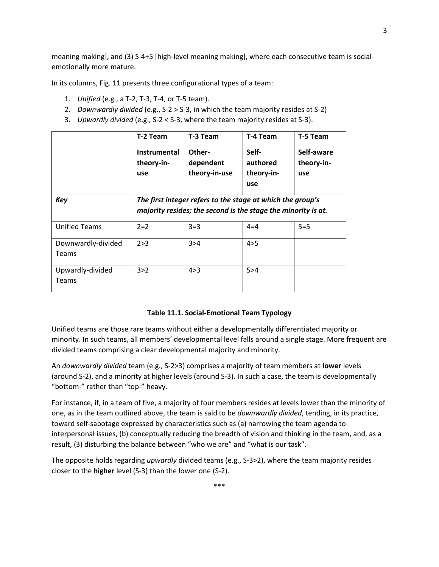meaning making], and (3) S-4+5 [high-level meaning making], where each consecutive team is socialemotionally more mature.

In its columns, Fig. 11 presents three configurational types of a team:

- 1. *Unified* (e.g., a T-2, T-3, T-4, or T-5 team).
- 2. *Downwardly divided* (e.g., S-2 > S-3, in which the team majority resides at S-2)
- 3. *Upwardly divided* (e.g., S-2 < S-3, where the team majority resides at S-3).

|                             | T-2 Team<br>Instrumental<br>theory-in-<br>use                                                                               | T-3 Team<br>Other-<br>dependent<br>theory-in-use | T-4 Team<br>Self-<br>authored<br>theory-in-<br>use | T-5 Team<br>Self-aware<br>theory-in-<br>use |
|-----------------------------|-----------------------------------------------------------------------------------------------------------------------------|--------------------------------------------------|----------------------------------------------------|---------------------------------------------|
| <b>Key</b>                  | The first integer refers to the stage at which the group's<br>majority resides; the second is the stage the minority is at. |                                                  |                                                    |                                             |
| <b>Unified Teams</b>        | $2=2$                                                                                                                       | $3 = 3$                                          | $4 = 4$                                            | $5=5$                                       |
| Downwardly-divided<br>Teams | 2 > 3                                                                                                                       | 3 > 4                                            | 4 > 5                                              |                                             |
| Upwardly-divided<br>Teams   | 3 > 2                                                                                                                       | 4 > 3                                            | 5 > 4                                              |                                             |

### **Table 11.1. Social-Emotional Team Typology**

Unified teams are those rare teams without either a developmentally differentiated majority or minority. In such teams, all members' developmental level falls around a single stage. More frequent are divided teams comprising a clear developmental majority and minority.

An *downwardly divided* team (e.g., S-2>3) comprises a majority of team members at **lower** levels (around S-2), and a minority at higher levels (around S-3). In such a case, the team is developmentally "bottom-" rather than "top-" heavy.

For instance, if, in a team of five, a majority of four members resides at levels lower than the minority of one, as in the team outlined above, the team is said to be *downwardly divided*, tending, in its practice, toward self-sabotage expressed by characteristics such as (a) narrowing the team agenda to interpersonal issues, (b) conceptually reducing the breadth of vision and thinking in the team, and, as a result, (3) disturbing the balance between "who we are" and "what is our task".

The opposite holds regarding *upwardly* divided teams (e.g., S-3>2), where the team majority resides closer to the **higher** level (S-3) than the lower one (S-2).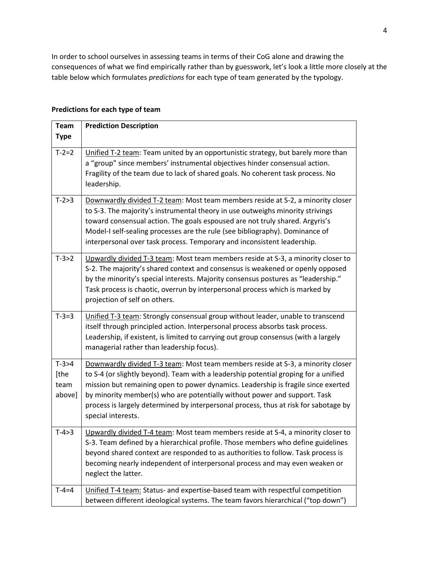In order to school ourselves in assessing teams in terms of their CoG alone and drawing the consequences of what we find empirically rather than by guesswork, let's look a little more closely at the table below which formulates *predictions* for each type of team generated by the typology.

| <b>Team</b>                       | <b>Prediction Description</b>                                                                                                                                                                                                                                                                                                                                                                                                                          |
|-----------------------------------|--------------------------------------------------------------------------------------------------------------------------------------------------------------------------------------------------------------------------------------------------------------------------------------------------------------------------------------------------------------------------------------------------------------------------------------------------------|
| <b>Type</b>                       |                                                                                                                                                                                                                                                                                                                                                                                                                                                        |
| $T - 2 = 2$                       | Unified T-2 team: Team united by an opportunistic strategy, but barely more than<br>a "group" since members' instrumental objectives hinder consensual action.<br>Fragility of the team due to lack of shared goals. No coherent task process. No<br>leadership.                                                                                                                                                                                       |
| $T-2>3$                           | Downwardly divided T-2 team: Most team members reside at S-2, a minority closer<br>to S-3. The majority's instrumental theory in use outweighs minority strivings<br>toward consensual action. The goals espoused are not truly shared. Argyris's<br>Model-I self-sealing processes are the rule (see bibliography). Dominance of<br>interpersonal over task process. Temporary and inconsistent leadership.                                           |
| $T-3>2$                           | Upwardly divided T-3 team: Most team members reside at S-3, a minority closer to<br>S-2. The majority's shared context and consensus is weakened or openly opposed<br>by the minority's special interests. Majority consensus postures as "leadership."<br>Task process is chaotic, overrun by interpersonal process which is marked by<br>projection of self on others.                                                                               |
| $T-3=3$                           | Unified T-3 team: Strongly consensual group without leader, unable to transcend<br>itself through principled action. Interpersonal process absorbs task process.<br>Leadership, if existent, is limited to carrying out group consensus (with a largely<br>managerial rather than leadership focus).                                                                                                                                                   |
| $T-3>4$<br>[the<br>team<br>above] | Downwardly divided T-3 team: Most team members reside at S-3, a minority closer<br>to S-4 (or slightly beyond). Team with a leadership potential groping for a unified<br>mission but remaining open to power dynamics. Leadership is fragile since exerted<br>by minority member(s) who are potentially without power and support. Task<br>process is largely determined by interpersonal process, thus at risk for sabotage by<br>special interests. |
| $T-4>3$                           | Upwardly divided T-4 team: Most team members reside at S-4, a minority closer to<br>S-3. Team defined by a hierarchical profile. Those members who define guidelines<br>beyond shared context are responded to as authorities to follow. Task process is<br>becoming nearly independent of interpersonal process and may even weaken or<br>neglect the latter.                                                                                         |
| $T - 4 = 4$                       | Unified T-4 team: Status- and expertise-based team with respectful competition<br>between different ideological systems. The team favors hierarchical ("top down")                                                                                                                                                                                                                                                                                     |

### **Predictions for each type of team**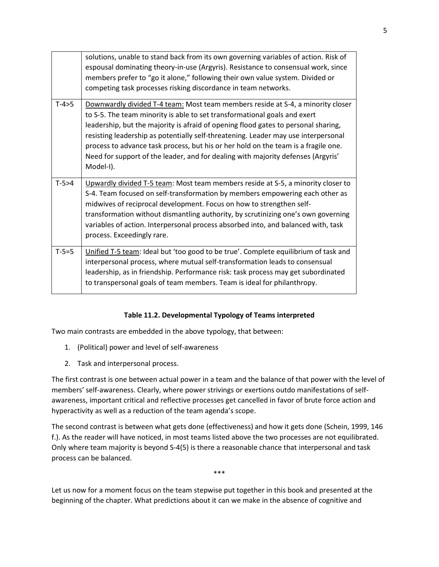|         | solutions, unable to stand back from its own governing variables of action. Risk of<br>espousal dominating theory-in-use (Argyris). Resistance to consensual work, since<br>members prefer to "go it alone," following their own value system. Divided or<br>competing task processes risking discordance in team networks.                                                                                                                                                                                                     |
|---------|---------------------------------------------------------------------------------------------------------------------------------------------------------------------------------------------------------------------------------------------------------------------------------------------------------------------------------------------------------------------------------------------------------------------------------------------------------------------------------------------------------------------------------|
| $T-4>5$ | Downwardly divided T-4 team: Most team members reside at S-4, a minority closer<br>to S-5. The team minority is able to set transformational goals and exert<br>leadership, but the majority is afraid of opening flood gates to personal sharing,<br>resisting leadership as potentially self-threatening. Leader may use interpersonal<br>process to advance task process, but his or her hold on the team is a fragile one.<br>Need for support of the leader, and for dealing with majority defenses (Argyris'<br>Model-I). |
| $T-5>4$ | Upwardly divided T-5 team: Most team members reside at S-5, a minority closer to<br>S-4. Team focused on self-transformation by members empowering each other as<br>midwives of reciprocal development. Focus on how to strengthen self-<br>transformation without dismantling authority, by scrutinizing one's own governing<br>variables of action. Interpersonal process absorbed into, and balanced with, task<br>process. Exceedingly rare.                                                                                |
| $T-5=5$ | Unified T-5 team: Ideal but 'too good to be true'. Complete equilibrium of task and<br>interpersonal process, where mutual self-transformation leads to consensual<br>leadership, as in friendship. Performance risk: task process may get subordinated<br>to transpersonal goals of team members. Team is ideal for philanthropy.                                                                                                                                                                                              |

## **Table 11.2. Developmental Typology of Teams interpreted**

Two main contrasts are embedded in the above typology, that between:

- 1. (Political) power and level of self-awareness
- 2. Task and interpersonal process.

The first contrast is one between actual power in a team and the balance of that power with the level of members' self-awareness. Clearly, where power strivings or exertions outdo manifestations of selfawareness, important critical and reflective processes get cancelled in favor of brute force action and hyperactivity as well as a reduction of the team agenda's scope.

The second contrast is between what gets done (effectiveness) and how it gets done (Schein, 1999, 146 f.). As the reader will have noticed, in most teams listed above the two processes are not equilibrated. Only where team majority is beyond S-4(5) is there a reasonable chance that interpersonal and task process can be balanced.

\*\*\*

Let us now for a moment focus on the team stepwise put together in this book and presented at the beginning of the chapter. What predictions about it can we make in the absence of cognitive and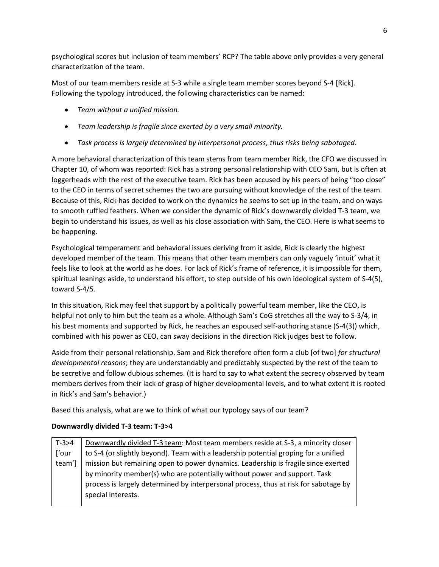psychological scores but inclusion of team members' RCP? The table above only provides a very general characterization of the team.

Most of our team members reside at S-3 while a single team member scores beyond S-4 [Rick]. Following the typology introduced, the following characteristics can be named:

- *Team without a unified mission.*
- *Team leadership is fragile since exerted by a very small minority.*
- *Task process is largely determined by interpersonal process, thus risks being sabotaged.*

A more behavioral characterization of this team stems from team member Rick, the CFO we discussed in Chapter 10, of whom was reported: Rick has a strong personal relationship with CEO Sam, but is often at loggerheads with the rest of the executive team. Rick has been accused by his peers of being "too close" to the CEO in terms of secret schemes the two are pursuing without knowledge of the rest of the team. Because of this, Rick has decided to work on the dynamics he seems to set up in the team, and on ways to smooth ruffled feathers. When we consider the dynamic of Rick's downwardly divided T-3 team, we begin to understand his issues, as well as his close association with Sam, the CEO. Here is what seems to be happening.

Psychological temperament and behavioral issues deriving from it aside, Rick is clearly the highest developed member of the team. This means that other team members can only vaguely 'intuit' what it feels like to look at the world as he does. For lack of Rick's frame of reference, it is impossible for them, spiritual leanings aside, to understand his effort, to step outside of his own ideological system of S-4(5), toward S-4/5.

In this situation, Rick may feel that support by a politically powerful team member, like the CEO, is helpful not only to him but the team as a whole. Although Sam's CoG stretches all the way to S-3/4, in his best moments and supported by Rick, he reaches an espoused self-authoring stance (S-4(3)) which, combined with his power as CEO, can sway decisions in the direction Rick judges best to follow.

Aside from their personal relationship, Sam and Rick therefore often form a club [of two] *for structural developmental reasons*; they are understandably and predictably suspected by the rest of the team to be secretive and follow dubious schemes. (It is hard to say to what extent the secrecy observed by team members derives from their lack of grasp of higher developmental levels, and to what extent it is rooted in Rick's and Sam's behavior.)

Based this analysis, what are we to think of what our typology says of our team?

## **Downwardly divided T-3 team: T-3>4**

| $T-3>4$ | Downwardly divided T-3 team: Most team members reside at S-3, a minority closer      |
|---------|--------------------------------------------------------------------------------------|
| ['our   | to S-4 (or slightly beyond). Team with a leadership potential groping for a unified  |
| team']  | mission but remaining open to power dynamics. Leadership is fragile since exerted    |
|         | by minority member(s) who are potentially without power and support. Task            |
|         | process is largely determined by interpersonal process, thus at risk for sabotage by |
|         | special interests.                                                                   |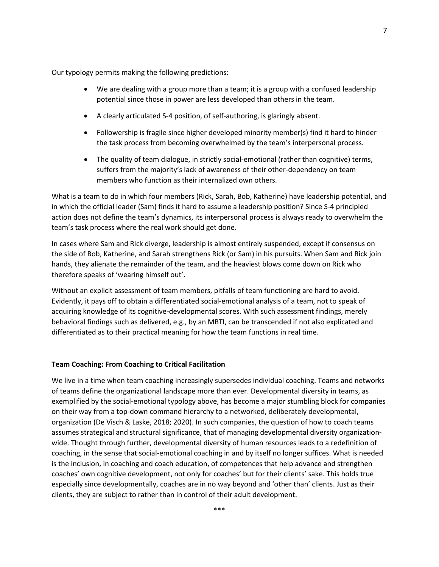Our typology permits making the following predictions:

- We are dealing with a group more than a team; it is a group with a confused leadership potential since those in power are less developed than others in the team.
- A clearly articulated S-4 position, of self-authoring, is glaringly absent.
- Followership is fragile since higher developed minority member(s) find it hard to hinder the task process from becoming overwhelmed by the team's interpersonal process.
- The quality of team dialogue, in strictly social-emotional (rather than cognitive) terms, suffers from the majority's lack of awareness of their other-dependency on team members who function as their internalized own others.

What is a team to do in which four members (Rick, Sarah, Bob, Katherine) have leadership potential, and in which the official leader (Sam) finds it hard to assume a leadership position? Since S-4 principled action does not define the team's dynamics, its interpersonal process is always ready to overwhelm the team's task process where the real work should get done.

In cases where Sam and Rick diverge, leadership is almost entirely suspended, except if consensus on the side of Bob, Katherine, and Sarah strengthens Rick (or Sam) in his pursuits. When Sam and Rick join hands, they alienate the remainder of the team, and the heaviest blows come down on Rick who therefore speaks of 'wearing himself out'.

Without an explicit assessment of team members, pitfalls of team functioning are hard to avoid. Evidently, it pays off to obtain a differentiated social-emotional analysis of a team, not to speak of acquiring knowledge of its cognitive-developmental scores. With such assessment findings, merely behavioral findings such as delivered, e.g., by an MBTI, can be transcended if not also explicated and differentiated as to their practical meaning for how the team functions in real time.

#### **Team Coaching: From Coaching to Critical Facilitation**

We live in a time when team coaching increasingly supersedes individual coaching. Teams and networks of teams define the organizational landscape more than ever. Developmental diversity in teams, as exemplified by the social-emotional typology above, has become a major stumbling block for companies on their way from a top-down command hierarchy to a networked, deliberately developmental, organization (De Visch & Laske, 2018; 2020). In such companies, the question of how to coach teams assumes strategical and structural significance, that of managing developmental diversity organizationwide. Thought through further, developmental diversity of human resources leads to a redefinition of coaching, in the sense that social-emotional coaching in and by itself no longer suffices. What is needed is the inclusion, in coaching and coach education, of competences that help advance and strengthen coaches' own cognitive development, not only for coaches' but for their clients' sake. This holds true especially since developmentally, coaches are in no way beyond and 'other than' clients. Just as their clients, they are subject to rather than in control of their adult development.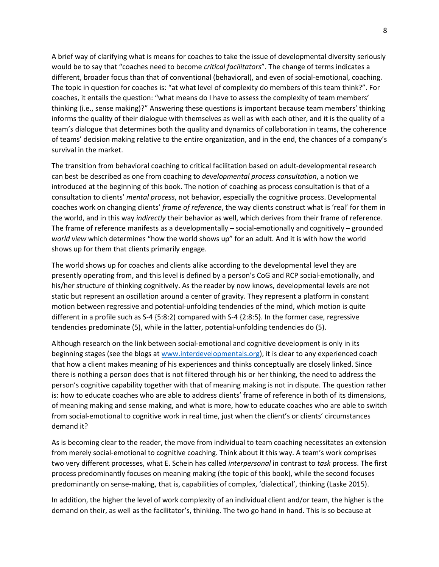A brief way of clarifying what is means for coaches to take the issue of developmental diversity seriously would be to say that "coaches need to become *critical facilitators*". The change of terms indicates a different, broader focus than that of conventional (behavioral), and even of social-emotional, coaching. The topic in question for coaches is: "at what level of complexity do members of this team think?". For coaches, it entails the question: "what means do I have to assess the complexity of team members' thinking (i.e., sense making)?" Answering these questions is important because team members' thinking informs the quality of their dialogue with themselves as well as with each other, and it is the quality of a team's dialogue that determines both the quality and dynamics of collaboration in teams, the coherence of teams' decision making relative to the entire organization, and in the end, the chances of a company's survival in the market.

The transition from behavioral coaching to critical facilitation based on adult-developmental research can best be described as one from coaching to *developmental process consultation*, a notion we introduced at the beginning of this book. The notion of coaching as process consultation is that of a consultation to clients' *mental process*, not behavior, especially the cognitive process. Developmental coaches work on changing clients' *frame of reference*, the way clients construct what is 'real' for them in the world, and in this way *indirectly* their behavior as well, which derives from their frame of reference. The frame of reference manifests as a developmentally – social-emotionally and cognitively – grounded *world view* which determines "how the world shows up" for an adult. And it is with how the world shows up for them that clients primarily engage.

The world shows up for coaches and clients alike according to the developmental level they are presently operating from, and this level is defined by a person's CoG and RCP social-emotionally, and his/her structure of thinking cognitively. As the reader by now knows, developmental levels are not static but represent an oscillation around a center of gravity. They represent a platform in constant motion between regressive and potential-unfolding tendencies of the mind, which motion is quite different in a profile such as S-4 {5:8:2) compared with S-4 {2:8:5}. In the former case, regressive tendencies predominate (5), while in the latter, potential-unfolding tendencies do (5).

Although research on the link between social-emotional and cognitive development is only in its beginning stages (see the blogs at [www.interdevelopmentals.org\)](http://www.interdevelopmentals.org/), it is clear to any experienced coach that how a client makes meaning of his experiences and thinks conceptually are closely linked. Since there is nothing a person does that is not filtered through his or her thinking, the need to address the person's cognitive capability together with that of meaning making is not in dispute. The question rather is: how to educate coaches who are able to address clients' frame of reference in both of its dimensions, of meaning making and sense making, and what is more, how to educate coaches who are able to switch from social-emotional to cognitive work in real time, just when the client's or clients' circumstances demand it?

As is becoming clear to the reader, the move from individual to team coaching necessitates an extension from merely social-emotional to cognitive coaching. Think about it this way. A team's work comprises two very different processes, what E. Schein has called *interpersonal* in contrast to *task* process. The first process predominantly focuses on meaning making (the topic of this book), while the second focuses predominantly on sense-making, that is, capabilities of complex, 'dialectical', thinking (Laske 2015).

In addition, the higher the level of work complexity of an individual client and/or team, the higher is the demand on their, as well as the facilitator's, thinking. The two go hand in hand. This is so because at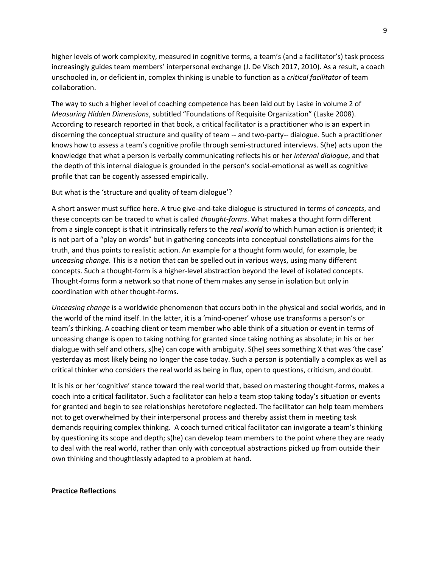higher levels of work complexity, measured in cognitive terms, a team's (and a facilitator's) task process increasingly guides team members' interpersonal exchange (J. De Visch 2017, 2010). As a result, a coach unschooled in, or deficient in, complex thinking is unable to function as a *critical facilitator* of team collaboration.

The way to such a higher level of coaching competence has been laid out by Laske in volume 2 of *Measuring Hidden Dimensions*, subtitled "Foundations of Requisite Organization" (Laske 2008). According to research reported in that book, a critical facilitator is a practitioner who is an expert in discerning the conceptual structure and quality of team -- and two-party-- dialogue. Such a practitioner knows how to assess a team's cognitive profile through semi-structured interviews. S(he) acts upon the knowledge that what a person is verbally communicating reflects his or her *internal dialogue*, and that the depth of this internal dialogue is grounded in the person's social-emotional as well as cognitive profile that can be cogently assessed empirically.

#### But what is the 'structure and quality of team dialogue'?

A short answer must suffice here. A true give-and-take dialogue is structured in terms of *concepts*, and these concepts can be traced to what is called *thought-forms*. What makes a thought form different from a single concept is that it intrinsically refers to the *real world* to which human action is oriented; it is not part of a "play on words" but in gathering concepts into conceptual constellations aims for the truth, and thus points to realistic action. An example for a thought form would, for example, be *unceasing change*. This is a notion that can be spelled out in various ways, using many different concepts. Such a thought-form is a higher-level abstraction beyond the level of isolated concepts. Thought-forms form a network so that none of them makes any sense in isolation but only in coordination with other thought-forms.

*Unceasing change* is a worldwide phenomenon that occurs both in the physical and social worlds, and in the world of the mind itself. In the latter, it is a 'mind-opener' whose use transforms a person's or team's thinking. A coaching client or team member who able think of a situation or event in terms of unceasing change is open to taking nothing for granted since taking nothing as absolute; in his or her dialogue with self and others, s(he) can cope with ambiguity. S(he) sees something X that was 'the case' yesterday as most likely being no longer the case today. Such a person is potentially a complex as well as critical thinker who considers the real world as being in flux, open to questions, criticism, and doubt.

It is his or her 'cognitive' stance toward the real world that, based on mastering thought-forms, makes a coach into a critical facilitator. Such a facilitator can help a team stop taking today's situation or events for granted and begin to see relationships heretofore neglected. The facilitator can help team members not to get overwhelmed by their interpersonal process and thereby assist them in meeting task demands requiring complex thinking. A coach turned critical facilitator can invigorate a team's thinking by questioning its scope and depth; s(he) can develop team members to the point where they are ready to deal with the real world, rather than only with conceptual abstractions picked up from outside their own thinking and thoughtlessly adapted to a problem at hand.

#### **Practice Reflections**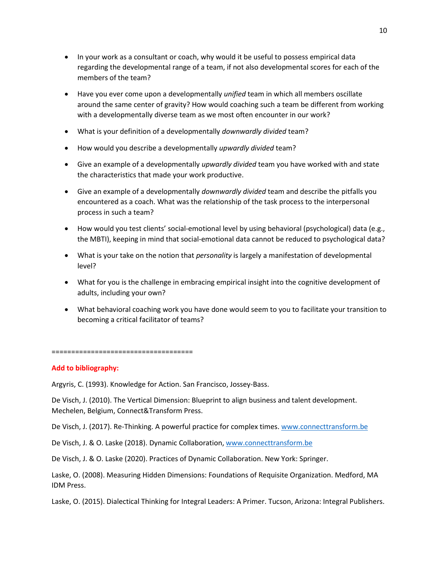- In your work as a consultant or coach, why would it be useful to possess empirical data regarding the developmental range of a team, if not also developmental scores for each of the members of the team?
- Have you ever come upon a developmentally *unified* team in which all members oscillate around the same center of gravity? How would coaching such a team be different from working with a developmentally diverse team as we most often encounter in our work?
- What is your definition of a developmentally *downwardly divided* team?
- How would you describe a developmentally *upwardly divided* team?
- Give an example of a developmentally *upwardly divided* team you have worked with and state the characteristics that made your work productive.
- Give an example of a developmentally *downwardly divided* team and describe the pitfalls you encountered as a coach. What was the relationship of the task process to the interpersonal process in such a team?
- How would you test clients' social-emotional level by using behavioral (psychological) data (e.g., the MBTI), keeping in mind that social-emotional data cannot be reduced to psychological data?
- What is your take on the notion that *personality* is largely a manifestation of developmental level?
- What for you is the challenge in embracing empirical insight into the cognitive development of adults, including your own?
- What behavioral coaching work you have done would seem to you to facilitate your transition to becoming a critical facilitator of teams?

====================================

### **Add to bibliography:**

Argyris, C. (1993). Knowledge for Action. San Francisco, Jossey-Bass.

De Visch, J. (2010). The Vertical Dimension: Blueprint to align business and talent development. Mechelen, Belgium, Connect&Transform Press.

De Visch, J. (2017). Re-Thinking. A powerful practice for complex times[. www.connecttransform.be](http://www.connecttransform.be/)

De Visch, J. & O. Laske (2018). Dynamic Collaboration, [www.connecttransform.be](http://www.connecttransform.be/)

De Visch, J. & O. Laske (2020). Practices of Dynamic Collaboration. New York: Springer.

Laske, O. (2008). Measuring Hidden Dimensions: Foundations of Requisite Organization. Medford, MA IDM Press.

Laske, O. (2015). Dialectical Thinking for Integral Leaders: A Primer. Tucson, Arizona: Integral Publishers.